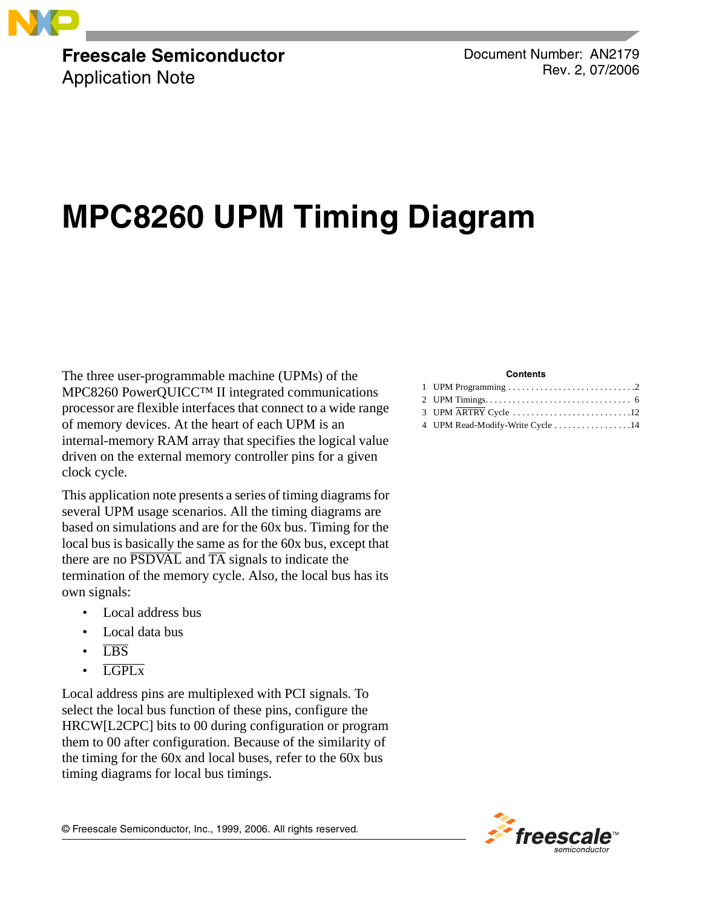

**Freescale Semiconductor** Application Note

Document Number: AN2179 Rev. 2, 07/2006

# **MPC8260 UPM Timing Diagram**

The three user-programmable machine (UPMs) of the MPC8260 PowerQUICC™ II integrated communications processor are flexible interfaces that connect to a wide range of memory devices. At the heart of each UPM is an internal-memory RAM array that specifies the logical value driven on the external memory controller pins for a given clock cycle.

This application note presents a series of timing diagrams for several UPM usage scenarios. All the timing diagrams are based on simulations and are for the 60x bus. Timing for the local bus is basically the same as for the 60x bus, except that there are no  $\overline{PSDVAL}$  and  $\overline{TA}$  signals to indicate the termination of the memory cycle. Also, the local bus has its own signals:

- Local address bus
- Local data bus
- LBS
- LGPLx

Local address pins are multiplexed with PCI signals. To select the local bus function of these pins, configure the HRCW[L2CPC] bits to 00 during configuration or program them to 00 after configuration. Because of the similarity of the timing for the 60x and local buses, refer to the 60x bus timing diagrams for local bus timings.

#### **Contents**

| 4 UPM Read-Modify-Write Cycle 14 |  |
|----------------------------------|--|



© Freescale Semiconductor, Inc., 1999, 2006. All rights reserved.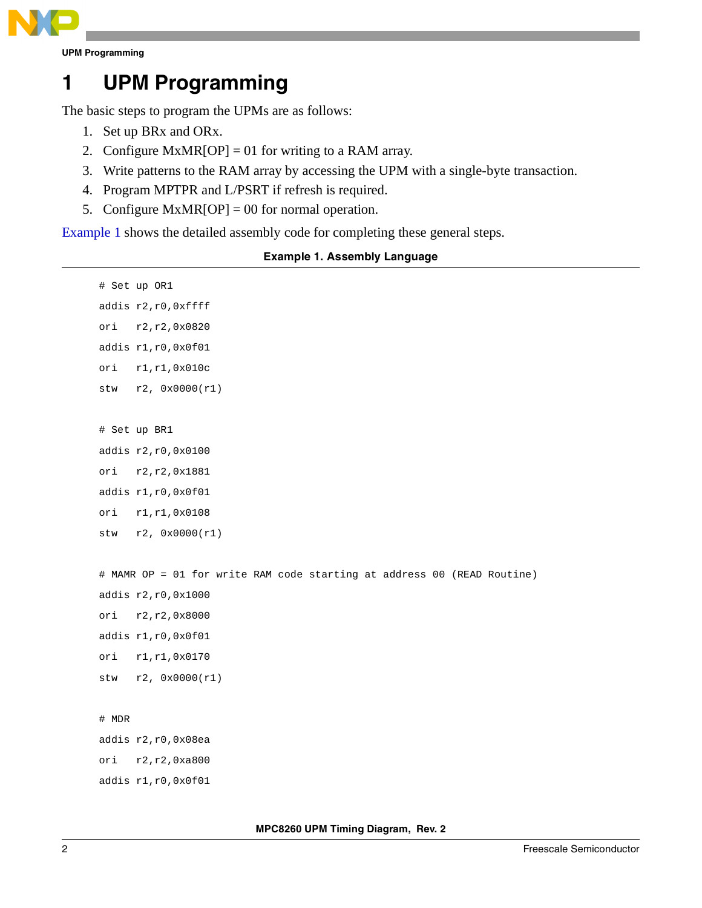

**UPM Programming**

## **1 UPM Programming**

The basic steps to program the UPMs are as follows:

- 1. Set up BRx and ORx.
- 2. Configure MxMR[OP] = 01 for writing to a RAM array.
- 3. Write patterns to the RAM array by accessing the UPM with a single-byte transaction.
- 4. Program MPTPR and L/PSRT if refresh is required.
- 5. Configure  $MxMR[OP] = 00$  for normal operation.

<span id="page-1-0"></span>[Example 1](#page-1-0) shows the detailed assembly code for completing these general steps.

## **Example 1. Assembly Language**

```
# Set up OR1 
addis r2,r0,0xffff
ori r2,r2,0x0820
addis r1,r0,0x0f01
ori r1,r1,0x010c 
stw r2, 0x0000(r1) 
# Set up BR1 
addis r2,r0,0x0100
ori r2,r2,0x1881 
addis r1,r0,0x0f01
ori r1,r1,0x0108 
stw r2, 0x0000(r1)
# MAMR OP = 01 for write RAM code starting at address 00 (READ Routine)
addis r2,r0,0x1000
ori r2,r2,0x8000 
addis r1,r0,0x0f01
ori r1,r1,0x0170
stw r2, 0x0000(r1)
# MDR 
addis r2,r0,0x08ea
ori r2,r2,0xa800 
addis r1,r0,0x0f01
```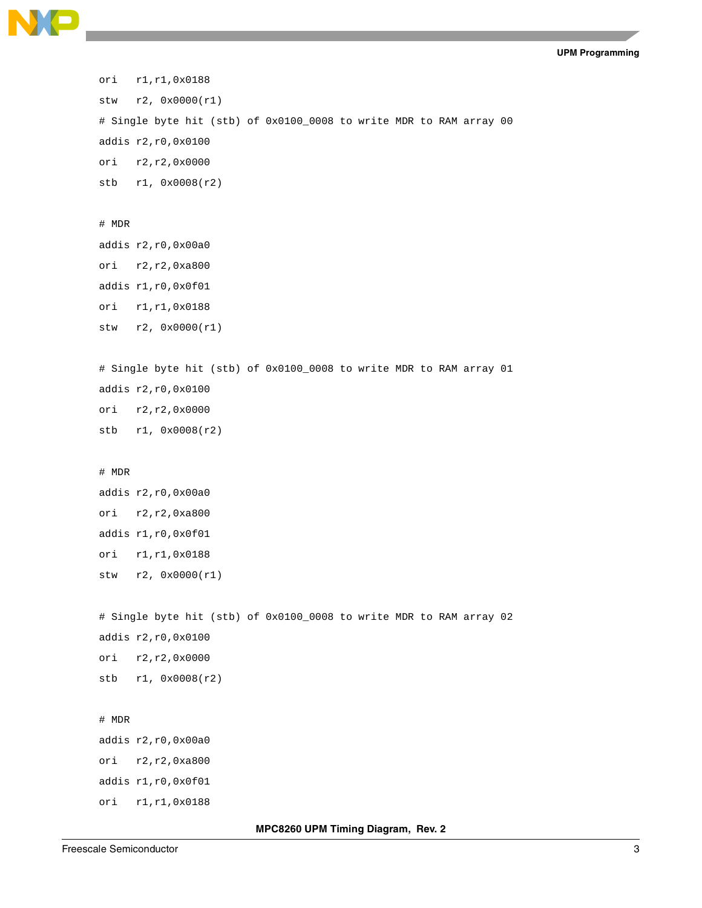**UPM Programming**

```
ori r1,r1,0x0188
stw r2, 0x0000(r1) 
# Single byte hit (stb) of 0x0100_0008 to write MDR to RAM array 00
addis r2,r0,0x0100
ori r2,r2,0x0000
stb r1, 0x0008(r2) 
# MDR 
addis r2,r0,0x00a0
ori r2,r2,0xa800 
addis r1,r0,0x0f01
ori r1,r1,0x0188
stw r2, 0x0000(r1) 
# Single byte hit (stb) of 0x0100_0008 to write MDR to RAM array 01
addis r2,r0,0x0100
ori r2,r2,0x0000
stb r1, 0x0008(r2) 
# MDR 
addis r2,r0,0x00a0
ori r2,r2,0xa800 
addis r1,r0,0x0f01
ori r1,r1,0x0188
stw r2, 0x0000(r1) 
# Single byte hit (stb) of 0x0100_0008 to write MDR to RAM array 02
addis r2,r0,0x0100
ori r2,r2,0x0000
stb r1, 0x0008(r2) 
# MDR 
addis r2,r0,0x00a0
ori r2,r2,0xa800 
addis r1,r0,0x0f01
ori r1,r1,0x0188
```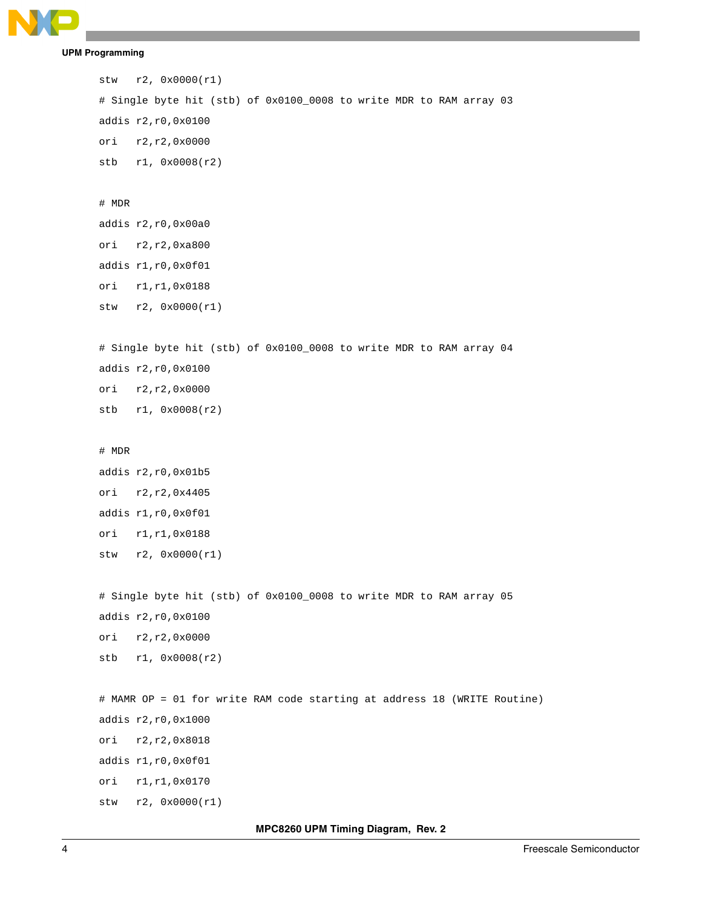

**UPM Programming**

```
stw r2, 0x0000(r1) 
# Single byte hit (stb) of 0x0100_0008 to write MDR to RAM array 03
addis r2,r0,0x0100
ori r2,r2,0x0000
stb r1, 0x0008(r2) 
# MDR 
addis r2,r0,0x00a0
ori r2,r2,0xa800 
addis r1,r0,0x0f01
ori r1,r1,0x0188
stw r2, 0x0000(r1) 
# Single byte hit (stb) of 0x0100_0008 to write MDR to RAM array 04
addis r2,r0,0x0100
ori r2,r2,0x0000
stb r1, 0x0008(r2) 
# MDR 
addis r2,r0,0x01b5
ori r2,r2,0x4405 
addis r1,r0,0x0f01
ori r1,r1,0x0188
stw r2, 0x0000(r1) 
# Single byte hit (stb) of 0x0100_0008 to write MDR to RAM array 05
addis r2,r0,0x0100
ori r2,r2,0x0000
stb r1, 0x0008(r2) 
# MAMR OP = 01 for write RAM code starting at address 18 (WRITE Routine)
addis r2,r0,0x1000
ori r2,r2,0x8018
addis r1,r0,0x0f01
ori r1,r1,0x0170 
stw r2, 0x0000(r1)
```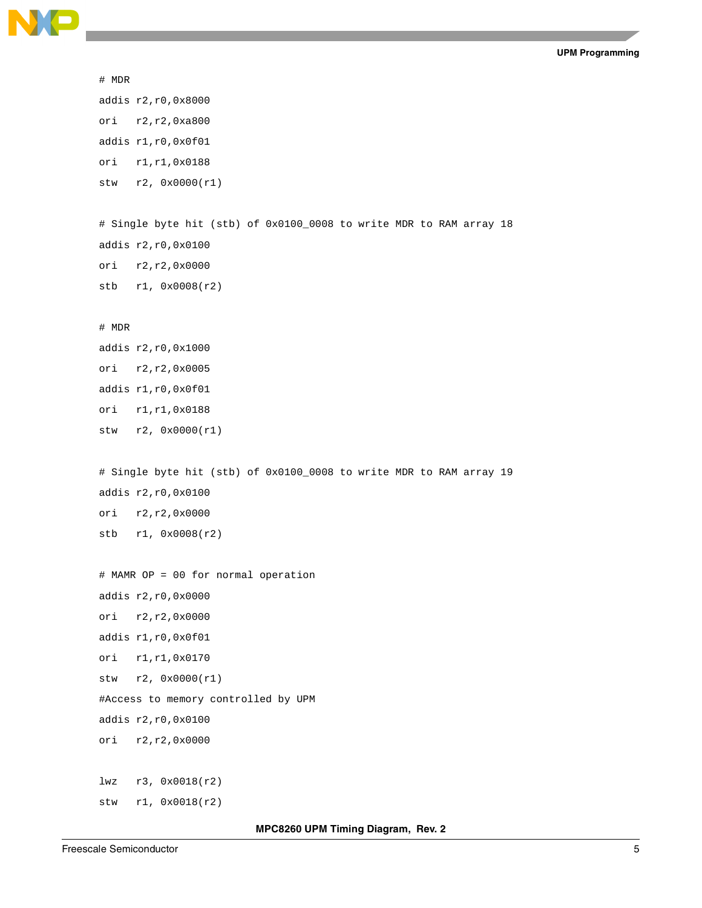

```
# MDR 
addis r2,r0,0x8000
ori r2,r2,0xa800 
addis r1,r0,0x0f01
ori r1,r1,0x0188
stw r2, 0x0000(r1) 
# Single byte hit (stb) of 0x0100_0008 to write MDR to RAM array 18
addis r2,r0,0x0100
ori r2,r2,0x0000
stb r1, 0x0008(r2) 
# MDR 
addis r2,r0,0x1000
ori r2,r2,0x0005 
addis r1,r0,0x0f01
ori r1,r1,0x0188
stw r2, 0x0000(r1) 
# Single byte hit (stb) of 0x0100_0008 to write MDR to RAM array 19
addis r2,r0,0x0100
ori r2,r2,0x0000
stb r1, 0x0008(r2) 
# MAMR OP = 00 for normal operation
addis r2,r0,0x0000
ori r2,r2,0x0000
addis r1,r0,0x0f01
ori r1,r1,0x0170 
stw r2, 0x0000(r1) 
#Access to memory controlled by UPM
addis r2,r0,0x0100
ori r2,r2,0x0000 
lwz r3, 0x0018(r2)
stw r1, 0x0018(r2)
```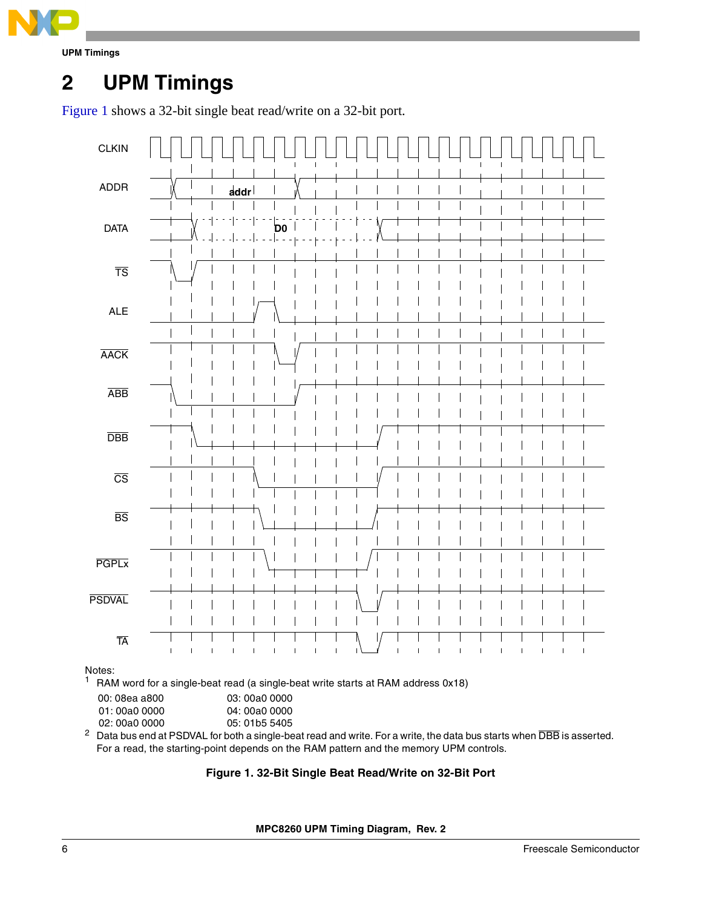

**UPM Timings**

## **2 UPM Timings**

[Figure 1](#page-5-0) shows a 32-bit single beat read/write on a 32-bit port.



Notes:

 $1$  RAM word for a single-beat read (a single-beat write starts at RAM address 0x18)

| 00: 08ea a800 | 03: 00a0 0000 |
|---------------|---------------|
|---------------|---------------|

01: 00a0 0000 04: 00a0 0000

02: 00a0 0000 05: 01b5 5405

<span id="page-5-0"></span> $^2$  Data bus end at PSDVAL for both a single-beat read and write. For a write, the data bus starts when  $\overline{\rm DBB}$  is asserted. For a read, the starting-point depends on the RAM pattern and the memory UPM controls.

### **Figure 1. 32-Bit Single Beat Read/Write on 32-Bit Port**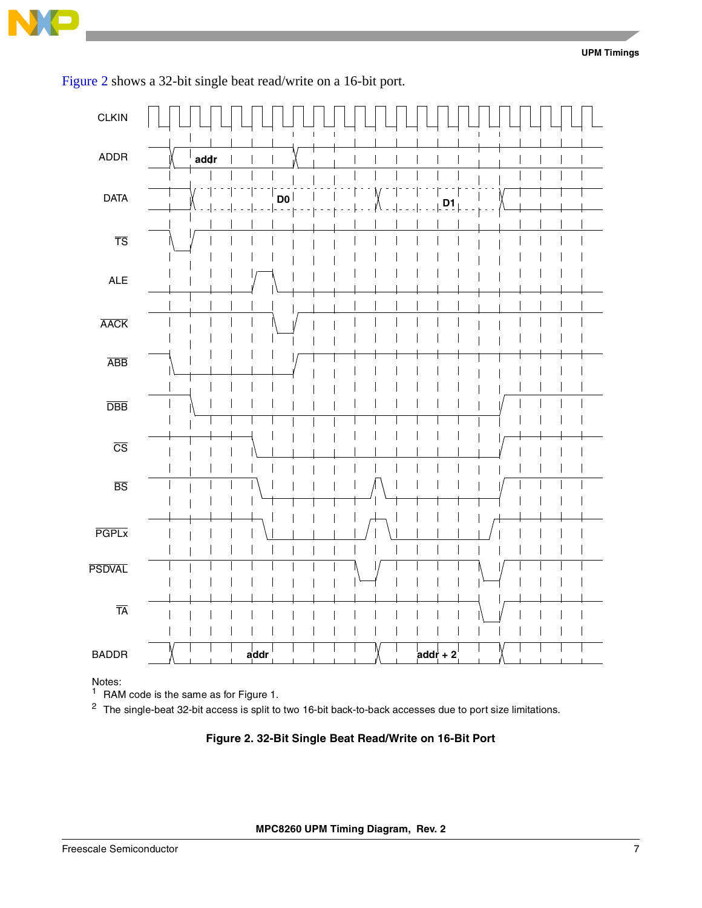

| <b>CLKIN</b>              |      | $\mathbf I$<br>$\mathbf{I}$ | $\mathbf I$ |                               | $\mathbf{I}$ |  |
|---------------------------|------|-----------------------------|-------------|-------------------------------|--------------|--|
| ADDR                      | addr |                             |             |                               |              |  |
| <b>DATA</b>               |      | D <sub>0</sub>              |             |                               |              |  |
| $\overline{\text{TS}}$    |      |                             |             |                               |              |  |
| <b>ALE</b>                |      |                             |             |                               |              |  |
| <b>AACK</b>               |      |                             |             |                               |              |  |
| <b>ABB</b>                |      |                             |             |                               |              |  |
| $\overline{\mathsf{DBB}}$ |      |                             |             |                               |              |  |
| $\overline{\text{CS}}$    |      |                             |             |                               |              |  |
| $\overline{\mathtt{BS}}$  |      |                             |             |                               |              |  |
| <b>PGPLx</b>              |      |                             |             | I<br>$\overline{\phantom{a}}$ | I            |  |
| <b>PSDVAL</b>             |      |                             |             |                               |              |  |
| $\overline{\text{TA}}$    |      |                             |             |                               |              |  |
| <b>BADDR</b>              |      | addr                        |             |                               | $addr + 2$   |  |

[Figure 2](#page-6-0) shows a 32-bit single beat read/write on a 16-bit port.

Notes:

 $1$  RAM code is the same as for Figure 1.

<span id="page-6-0"></span><sup>2</sup> The single-beat 32-bit access is split to two 16-bit back-to-back accesses due to port size limitations.

#### **Figure 2. 32-Bit Single Beat Read/Write on 16-Bit Port**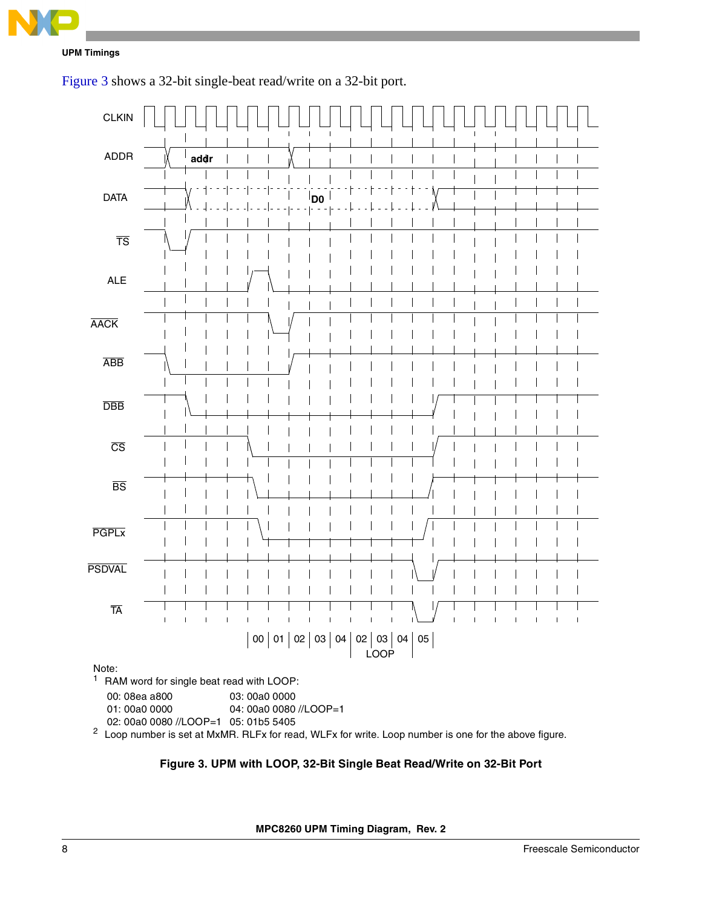

[Figure 3](#page-7-0) shows a 32-bit single-beat read/write on a 32-bit port.



00: 08ea a800 03: 00a0 0000

01: 00a0 0000 04: 00a0 0080 //LOOP=1

02: 00a0 0080 //LOOP=1 05: 01b5 5405

<span id="page-7-0"></span><sup>2</sup> Loop number is set at MxMR. RLFx for read, WLFx for write. Loop number is one for the above figure.

### **Figure 3. UPM with LOOP, 32-Bit Single Beat Read/Write on 32-Bit Port**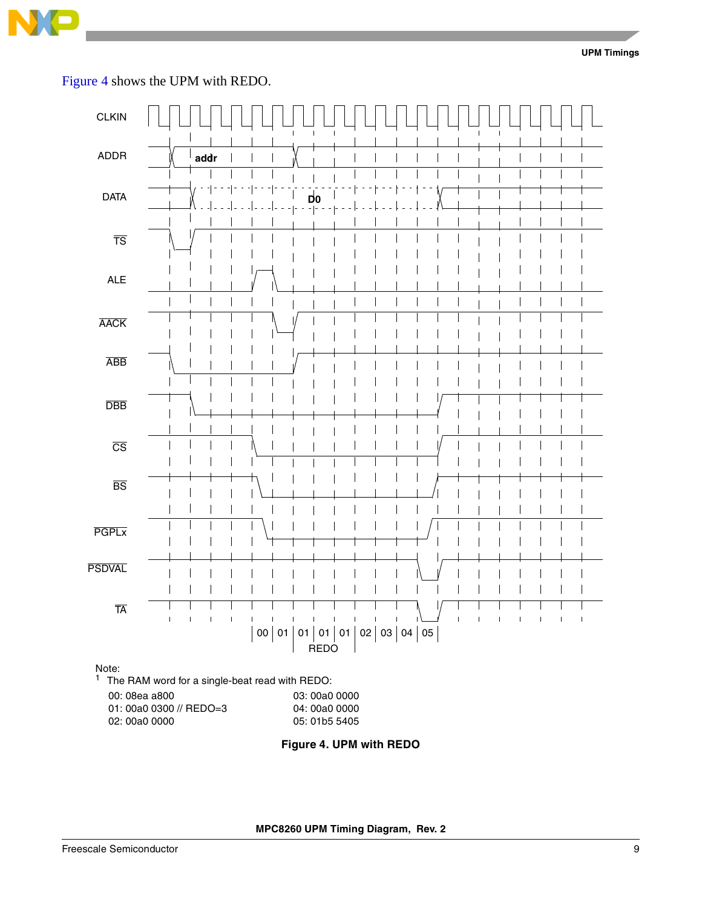

**UPM Timings**

[Figure 4](#page-8-0) shows the UPM with REDO.



<span id="page-8-0"></span>**Figure 4. UPM with REDO**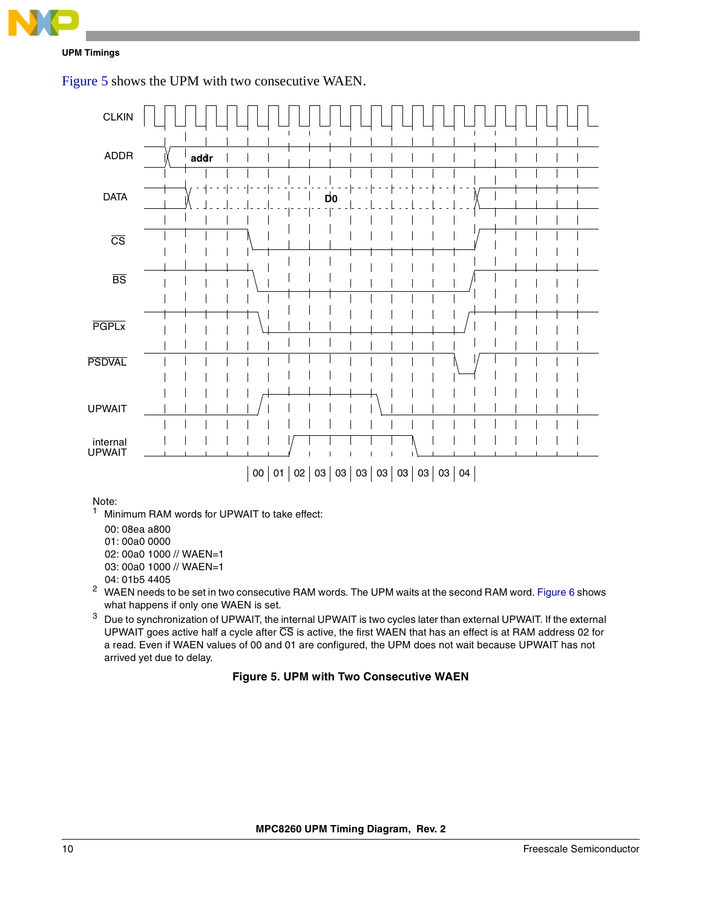

**UPM Timings**





Note:<br>1 Min

- Minimum RAM words for UPWAIT to take effect:
- 00: 08ea a800
- 01: 00a0 0000
- 02: 00a0 1000 // WAEN=1
- 03: 00a0 1000 // WAEN=1
- 04: 01b5 4405
- <sup>2</sup> WAEN needs to be set in two consecutive RAM words. The UPM waits at the second RAM word. [Figure 6](#page-10-0) shows what happens if only one WAEN is set.
- <span id="page-9-0"></span><sup>3</sup> Due to synchronization of UPWAIT, the internal UPWAIT is two cycles later than external UPWAIT. If the external UPWAIT goes active half a cycle after CS is active, the first WAEN that has an effect is at RAM address 02 for a read. Even if WAEN values of 00 and 01 are configured, the UPM does not wait because UPWAIT has not arrived yet due to delay.

## **Figure 5. UPM with Two Consecutive WAEN**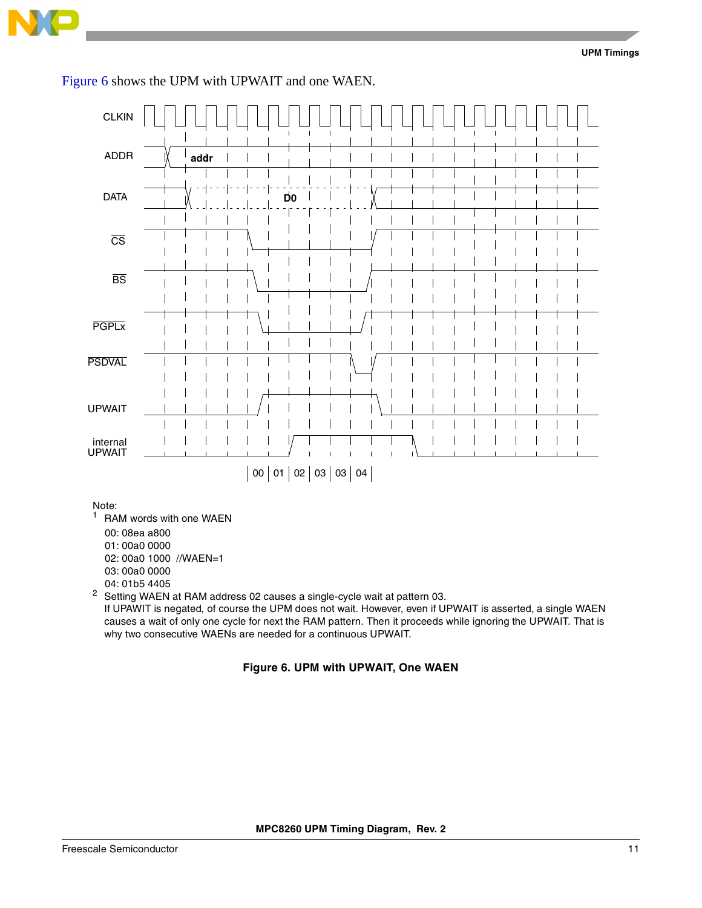![](_page_10_Picture_0.jpeg)

[Figure 6](#page-10-0) shows the UPM with UPWAIT and one WAEN.

![](_page_10_Figure_3.jpeg)

- 01: 00a0 0000
- 02: 00a0 1000 //WAEN=1
- 03: 00a0 0000
- 04: 01b5 4405

<sup>2</sup> Setting WAEN at RAM address 02 causes a single-cycle wait at pattern 03.

<span id="page-10-0"></span>If UPAWIT is negated, of course the UPM does not wait. However, even if UPWAIT is asserted, a single WAEN causes a wait of only one cycle for next the RAM pattern. Then it proceeds while ignoring the UPWAIT. That is why two consecutive WAENs are needed for a continuous UPWAIT.

#### **Figure 6. UPM with UPWAIT, One WAEN**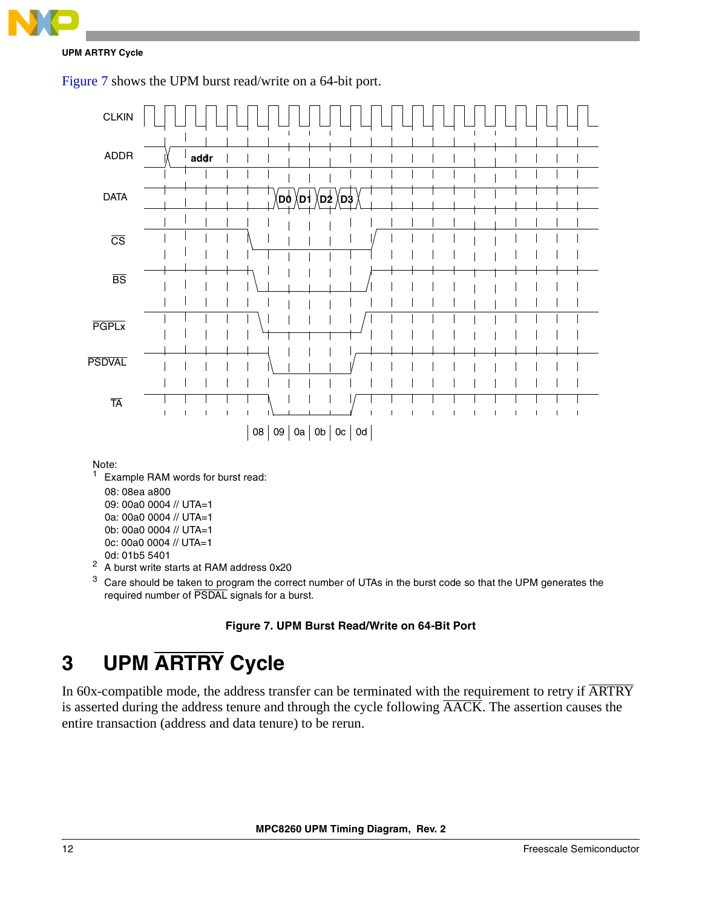**UPM ARTRY Cycle**

[Figure 7](#page-11-0) shows the UPM burst read/write on a 64-bit port.

![](_page_11_Figure_3.jpeg)

Note:<br> $\frac{1}{1}$  Ev.

Example RAM words for burst read:

- 08: 08ea a800
- 09: 00a0 0004 // UTA=1
- 0a: 00a0 0004 // UTA=1
- 0b: 00a0 0004 // UTA=1
- 0c: 00a0 0004 // UTA=1
- 0d: 01b5 5401
- <sup>2</sup> A burst write starts at RAM address 0x20
- <sup>3</sup> Care should be taken to program the correct number of UTAs in the burst code so that the UPM generates the required number of PSDAL signals for a burst.

## **Figure 7. UPM Burst Read/Write on 64-Bit Port**

## <span id="page-11-0"></span>**3 UPM ARTRY Cycle**

In 60x-compatible mode, the address transfer can be terminated with the requirement to retry if  $\overline{\text{ARTRY}}$ is asserted during the address tenure and through the cycle following AACK. The assertion causes the entire transaction (address and data tenure) to be rerun.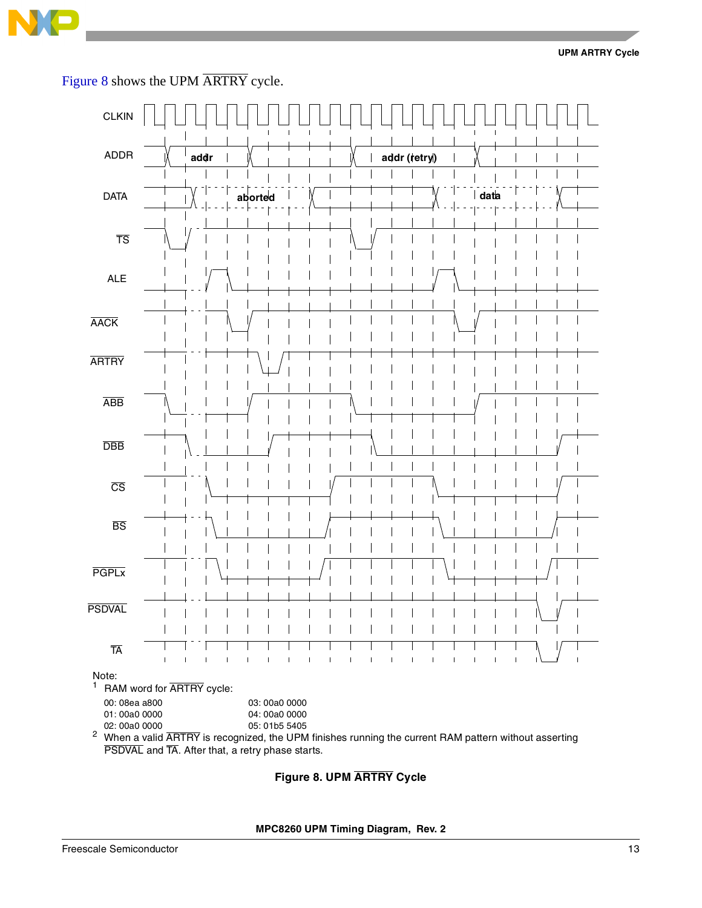![](_page_12_Picture_0.jpeg)

[Figure 8](#page-12-0) shows the UPM ARTRY cycle.

![](_page_12_Figure_3.jpeg)

## <span id="page-12-0"></span>**Figure 8. UPM ARTRY Cycle**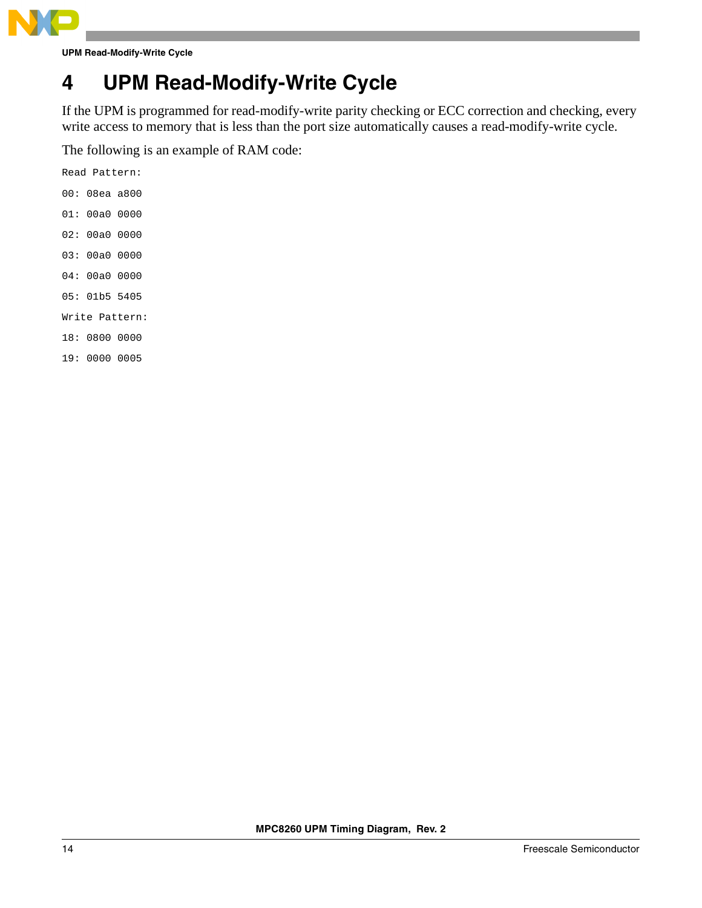![](_page_13_Picture_0.jpeg)

**UPM Read-Modify-Write Cycle**

## **4 UPM Read-Modify-Write Cycle**

If the UPM is programmed for read-modify-write parity checking or ECC correction and checking, every write access to memory that is less than the port size automatically causes a read-modify-write cycle.

The following is an example of RAM code:

| Read Pattern: |                |
|---------------|----------------|
| 00: 08ea a800 |                |
| 01: 00a0 0000 |                |
| 02: 00a0 0000 |                |
| 03:00a0000    |                |
| 04: 00a0 0000 |                |
| 05: 01b5 5405 |                |
|               | Write Pattern: |
| 18: 0800 0000 |                |

19: 0000 0005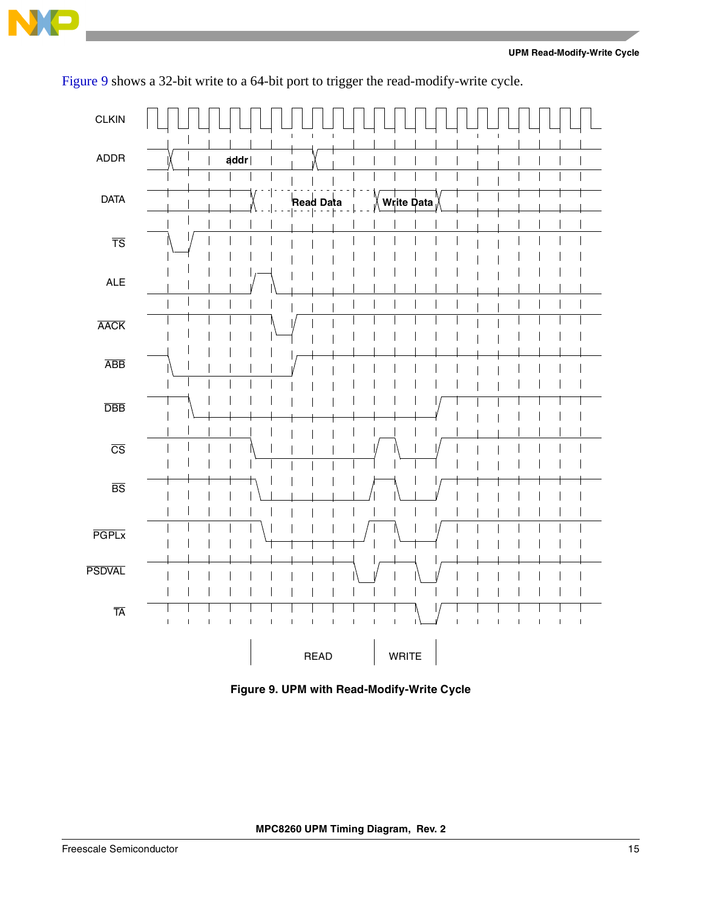![](_page_14_Picture_0.jpeg)

![](_page_14_Figure_2.jpeg)

[Figure 9](#page-14-0) shows a 32-bit write to a 64-bit port to trigger the read-modify-write cycle.

<span id="page-14-0"></span>**Figure 9. UPM with Read-Modify-Write Cycle**